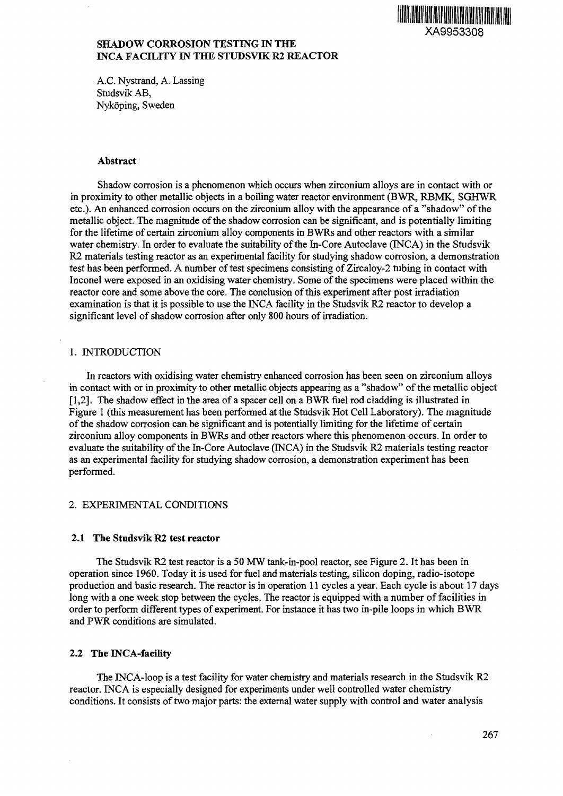

# **SHADOW CORROSION TESTING IN THE INCA FACILITY IN THE STUDSVIK R2 REACTOR**

A.C. Nystrand, A. Lassing Studsvik AB, Nykoping, Sweden

#### **Abstract**

Shadow corrosion is a phenomenon which occurs when zirconium alloys are in contact with or in proximity to other metallic objects in a boiling water reactor environment (BWR, RBMK, SGHWR etc.)- An enhanced corrosion occurs on the zirconium alloy with the appearance of a "shadow" of the metallic object. The magnitude of the shadow corrosion can be significant, and is potentially limiting for the lifetime of certain zirconium alloy components in BWRs and other reactors with a similar water chemistry. In order to evaluate the suitability of the In-Core Autoclave (INCA) in the Studsvik R2 materials testing reactor as an experimental facility for studying shadow corrosion, a demonstration test has been performed. A number of test specimens consisting of Zircaloy-2 tubing in contact with Inconel were exposed in an oxidising water chemistry. Some of the specimens were placed within the reactor core and some above the core. The conclusion of this experiment after post irradiation examination is that it is possible to use the INCA facility in the Studsvik R2 reactor to develop a significant level of shadow corrosion after only 800 hours of irradiation.

## 1. INTRODUCTION

In reactors with oxidising water chemistry enhanced corrosion has been seen on zirconium alloys in contact with or in proximity to other metallic objects appearing as a "shadow" of the metallic object [1,2]. The shadow effect in the area of a spacer cell on a BWR fuel rod cladding is illustrated in Figure 1 (this measurement has been performed at the Studsvik Hot Cell Laboratory). The magnitude of the shadow corrosion can be significant and is potentially limiting for the lifetime of certain zirconium alloy components in BWRs and other reactors where this phenomenon occurs. In order to evaluate the suitability of the In-Core Autoclave (INCA) in the Studsvik R2 materials testing reactor as an experimental facility for studying shadow corrosion, a demonstration experiment has been performed.

# 2. EXPERIMENTAL CONDITIONS

#### **2.1 The Studsvik R2 test reactor**

The Studsvik R2 test reactor is a 50 MW tank-in-pool reactor, see Figure 2. It has been in operation since 1960. Today it is used for fuel and materials testing, silicon doping, radio-isotope production and basic research. The reactor is in operation 11 cycles a year. Each cycle is about 17 days long with a one week stop between the cycles. The reactor is equipped with a number of facilities in order to perform different types of experiment. For instance it has two in-pile loops in which BWR and PWR conditions are simulated.

#### **2.2 The INCA-facility**

The INCA-loop is a test facility for water chemistry and materials research in the Studsvik R2 reactor. INCA is especially designed for experiments under well controlled water chemistry conditions. It consists of two major parts: the external water supply with control and water analysis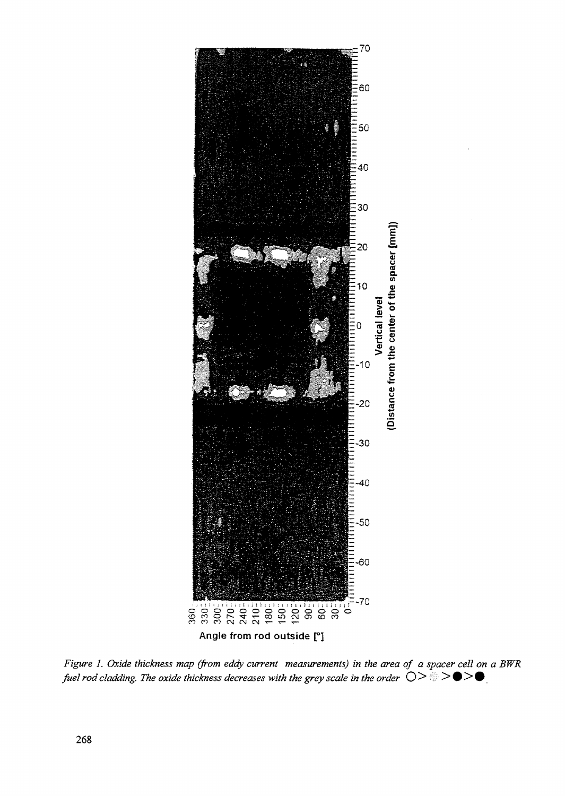

*Figure 1. Oxide thickness map (from eddy current measurements) in the area of a spacer cell on a BWR fuel rod cladding. The oxide thickness decreases with the grey scale in the order*  $O > 8$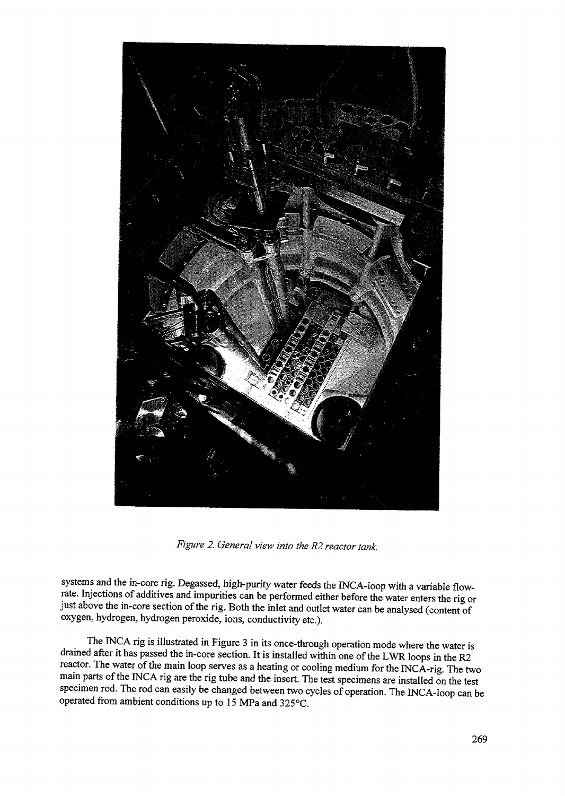

*Figure 2. General view into the R2 reactor tank.*

systems and the in-core rig. Degassed, high-purity water feeds the INCA-loop with a variable flowrate. Injections of additives and impurities can be performed either before the water enters the rig or just above the in-core section of the rig. Both the inlet and outlet water can be analysed (content of oxygen, hydrogen, hydrogen peroxide, ions, conductivity etc.).

The INCA rig is illustrated in Figure 3 in its once-through operation mode where the water is drained after it has passed the in-core section. It is installed within one of the LWR loops in the R2 reactor. The water of the main loop serves as a heating or cooling medium for the INCA-rig. The two main parts of the INCA rig are the rig tube and the insert. The test specimens are installed on the test specimen rod. The rod can easily be changed between two cycles of operation. The INCA-loop can be operated from ambient conditions up to 15 MPa and 325°C.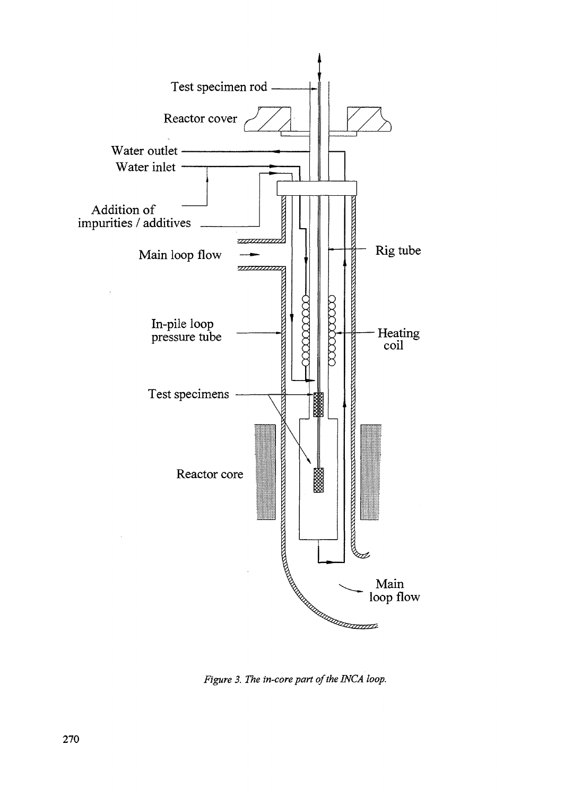

*Figure 3. The in-core part of the INCA loop.*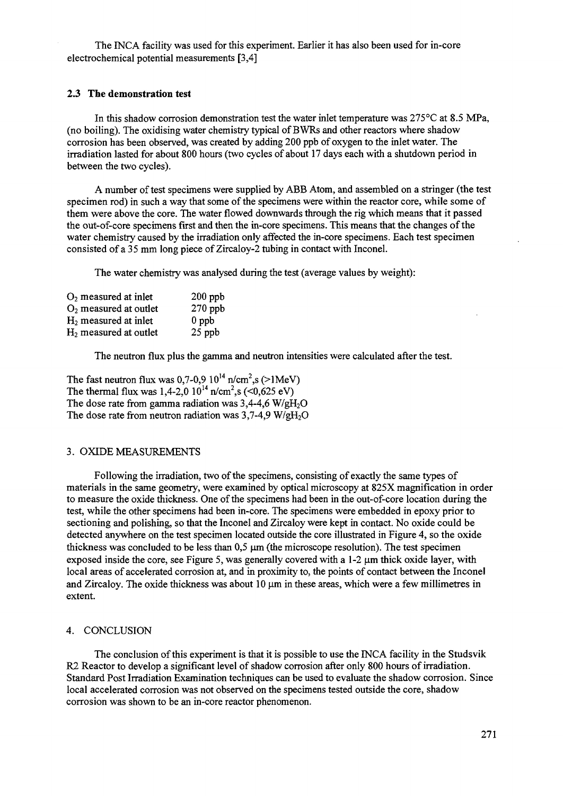The INCA facility was used for this experiment. Earlier it has also been used for in-core electrochemical potential measurements [3,4]

### **2.3 The demonstration test**

In this shadow corrosion demonstration test the water inlet temperature was 275°C at 8.5 MPa, (no boiling). The oxidising water chemistry typical of BWRs and other reactors where shadow corrosion has been observed, was created by adding 200 ppb of oxygen to the inlet water. The irradiation lasted for about 800 hours (two cycles of about 17 days each with a shutdown period in between the two cycles).

A number of test specimens were supplied by ABB Atom, and assembled on a stringer (the test specimen rod) in such a way that some of the specimens were within the reactor core, while some of them were above the core. The water flowed downwards through the rig which means that it passed the out-of-core specimens first and then the in-core specimens. This means that the changes of the water chemistry caused by the irradiation only affected the in-core specimens. Each test specimen consisted of a 35 mm long piece of Zircaloy-2 tubing in contact with Inconel.

The water chemistry was analysed during the test (average values by weight):

| $O2$ measured at inlet   | $200$ ppb |
|--------------------------|-----------|
| $O2$ measured at outlet  | $270$ ppb |
| $H_2$ measured at inlet  | $0$ ppb   |
| $H_2$ measured at outlet | 25 ppb    |

The neutron flux plus the gamma and neutron intensities were calculated after the test.

The fast neutron flux was 0,7-0,9  $10^{14}$  n/cm<sup>2</sup>,s (>1MeV) The thermal flux was 1,4-2,0  $10^{14}$  n/cm<sup>2</sup>,s (<0,625 eV) The dose rate from gamma radiation was  $3,4-4,6$  W/gH<sub>2</sub>O The dose rate from neutron radiation was  $3,7-4,9$  W/gH<sub>2</sub>O

#### 3. OXIDE MEASUREMENTS

Following the irradiation, two of the specimens, consisting of exactly the same types of materials in the same geometry, were examined by optical microscopy at 825X magnification in order to measure the oxide thickness. One of the specimens had been in the out-of-core location during the test, while the other specimens had been in-core. The specimens were embedded in epoxy prior to sectioning and polishing, so that the Inconel and Zircaloy were kept in contact. No oxide could be detected anywhere on the test specimen located outside the core illustrated in Figure 4, so the oxide thickness was concluded to be less than  $0.5 \mu m$  (the microscope resolution). The test specimen exposed inside the core, see Figure 5, was generally covered with a  $1-2 \mu m$  thick oxide layer, with local areas of accelerated corrosion at, and in proximity to, the points of contact between the Inconel and Zircaloy. The oxide thickness was about 10  $\mu$ m in these areas, which were a few millimetres in extent.

### 4. CONCLUSION

The conclusion of this experiment is that it is possible to use the INCA facility in the Studsvik R2 Reactor to develop a significant level of shadow corrosion after only 800 hours of irradiation. Standard Post Irradiation Examination techniques can be used to evaluate the shadow corrosion. Since local accelerated corrosion was not observed on the specimens tested outside the core, shadow corrosion was shown to be an in-core reactor phenomenon.